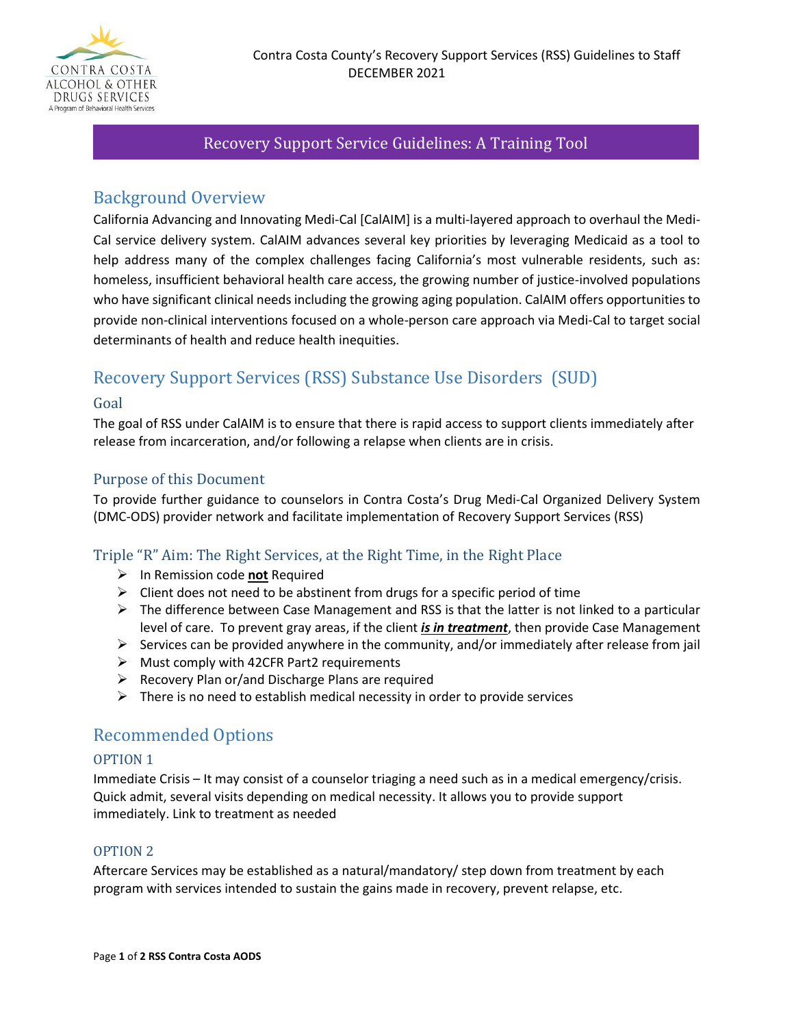

# Recovery Support Service Guidelines: A Training Tool

# Background Overview

California Advancing and Innovating Medi-Cal [CalAIM] is a multi-layered approach to overhaul the Medi-Cal service delivery system. CalAIM advances several key priorities by leveraging Medicaid as a tool to help address many of the complex challenges facing California's most vulnerable residents, such as: homeless, insufficient behavioral health care access, the growing number of justice-involved populations who have significant clinical needs including the growing aging population. CalAIM offers opportunities to provide non-clinical interventions focused on a whole-person care approach via Medi-Cal to target social determinants of health and reduce health inequities.

# Recovery Support Services (RSS) Substance Use Disorders (SUD)

## Goal

The goal of RSS under CalAIM is to ensure that there is rapid access to support clients immediately after release from incarceration, and/or following a relapse when clients are in crisis.

# Purpose of this Document

To provide further guidance to counselors in Contra Costa's Drug Medi-Cal Organized Delivery System (DMC-ODS) provider network and facilitate implementation of Recovery Support Services (RSS)

## Triple "R" Aim: The Right Services, at the Right Time, in the Right Place

- ➢ In Remission code **not** Required
- $\triangleright$  Client does not need to be abstinent from drugs for a specific period of time
- $\triangleright$  The difference between Case Management and RSS is that the latter is not linked to a particular level of care. To prevent gray areas, if the client *is in treatment*, then provide Case Management
- $\triangleright$  Services can be provided anywhere in the community, and/or immediately after release from jail
- ➢ Must comply with 42CFR Part2 requirements
- $\triangleright$  Recovery Plan or/and Discharge Plans are required
- $\triangleright$  There is no need to establish medical necessity in order to provide services

# Recommended Options

#### OPTION 1

Immediate Crisis – It may consist of a counselor triaging a need such as in a medical emergency/crisis. Quick admit, several visits depending on medical necessity. It allows you to provide support immediately. Link to treatment as needed

#### OPTION 2

Aftercare Services may be established as a natural/mandatory/ step down from treatment by each program with services intended to sustain the gains made in recovery, prevent relapse, etc.